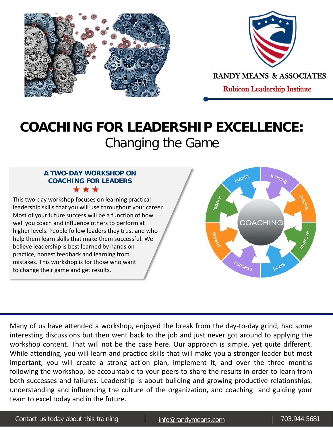



RANDY MEANS & ASSOCIATES

Rubicon Leadership Institute

## **COACHING FOR LEADERSHIP EXCELLENCE:** Changing the Game

## **A TWO-DAY WORKSHOP ON COACHING FOR LEADERS** \*\*\*

This two-day workshop focuses on learning practical leadership skills that you will use throughout your career. Most of your future success will be a function of how well you coach and influence others to perform at higher levels. People follow leaders they trust and who help them learn skills that make them successful. We believe leadership is best learned by hands on practice, honest feedback and learning from mistakes. This workshop is for those who want to change their game and get results.



Many of us have attended a workshop, enjoyed the break from the day-to-day grind, had some interesting discussions but then went back to the job and just never got around to applying the workshop content. That will not be the case here. Our approach is simple, yet quite different. While attending, you will learn and practice skills that will make you a stronger leader but most important, you will create a strong action plan, implement it, and over the three months following the workshop, be accountable to your peers to share the results in order to learn from both successes and failures. Leadership is about building and growing productive relationships, understanding and influencing the culture of the organization, and coaching and guiding your team to excel today and in the future.